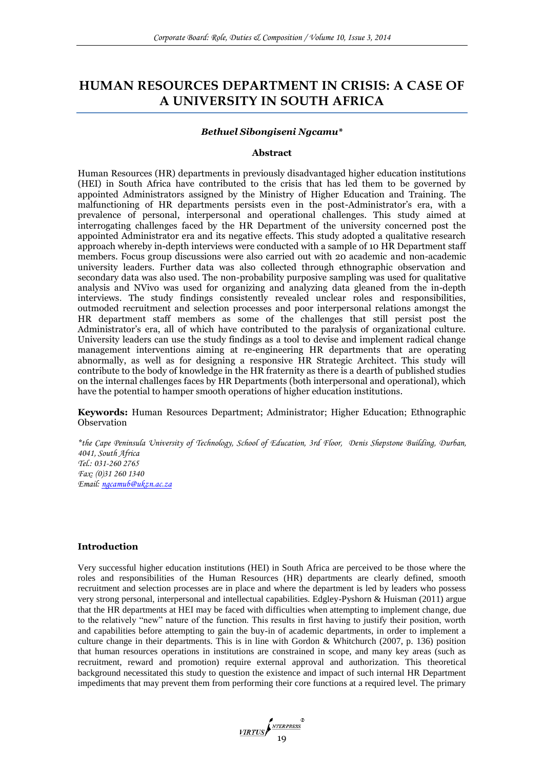# **HUMAN RESOURCES DEPARTMENT IN CRISIS: A CASE OF A UNIVERSITY IN SOUTH AFRICA**

#### *Bethuel Sibongiseni Ngcamu\**

#### **Abstract**

Human Resources (HR) departments in previously disadvantaged higher education institutions (HEI) in South Africa have contributed to the crisis that has led them to be governed by appointed Administrators assigned by the Ministry of Higher Education and Training. The malfunctioning of HR departments persists even in the post-Administrator's era, with a prevalence of personal, interpersonal and operational challenges. This study aimed at interrogating challenges faced by the HR Department of the university concerned post the appointed Administrator era and its negative effects. This study adopted a qualitative research approach whereby in-depth interviews were conducted with a sample of 10 HR Department staff members. Focus group discussions were also carried out with 20 academic and non-academic university leaders. Further data was also collected through ethnographic observation and secondary data was also used. The non-probability purposive sampling was used for qualitative analysis and NVivo was used for organizing and analyzing data gleaned from the in-depth interviews. The study findings consistently revealed unclear roles and responsibilities, outmoded recruitment and selection processes and poor interpersonal relations amongst the HR department staff members as some of the challenges that still persist post the Administrator's era, all of which have contributed to the paralysis of organizational culture. University leaders can use the study findings as a tool to devise and implement radical change management interventions aiming at re-engineering HR departments that are operating abnormally, as well as for designing a responsive HR Strategic Architect. This study will contribute to the body of knowledge in the HR fraternity as there is a dearth of published studies on the internal challenges faces by HR Departments (both interpersonal and operational), which have the potential to hamper smooth operations of higher education institutions.

**Keywords:** Human Resources Department; Administrator; Higher Education; Ethnographic **Observation** 

*\*the Cape Peninsula University of Technology, School of Education, 3rd Floor, Denis Shepstone Building, Durban, 4041, South Africa Tel.: 031-260 2765 Fax: (0)31 260 1340 Email: [ngcamub@ukzn.ac.za](mailto:ngcamub@ukzn.ac.za)*

## **Introduction**

Very successful higher education institutions (HEI) in South Africa are perceived to be those where the roles and responsibilities of the Human Resources (HR) departments are clearly defined, smooth recruitment and selection processes are in place and where the department is led by leaders who possess very strong personal, interpersonal and intellectual capabilities. Edgley-Pyshorn & Huisman (2011) argue that the HR departments at HEI may be faced with difficulties when attempting to implement change, due to the relatively "new" nature of the function. This results in first having to justify their position, worth and capabilities before attempting to gain the buy-in of academic departments, in order to implement a culture change in their departments. This is in line with Gordon & Whitchurch (2007, p. 136) position that human resources operations in institutions are constrained in scope, and many key areas (such as recruitment, reward and promotion) require external approval and authorization. This theoretical background necessitated this study to question the existence and impact of such internal HR Department impediments that may prevent them from performing their core functions at a required level. The primary

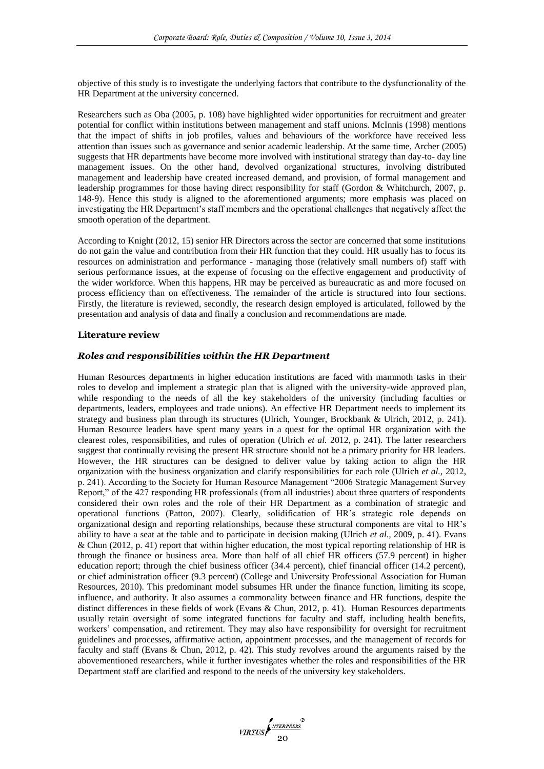objective of this study is to investigate the underlying factors that contribute to the dysfunctionality of the HR Department at the university concerned.

Researchers such as Oba (2005, p. 108) have highlighted wider opportunities for recruitment and greater potential for conflict within institutions between management and staff unions. McInnis (1998) mentions that the impact of shifts in job profiles, values and behaviours of the workforce have received less attention than issues such as governance and senior academic leadership. At the same time, Archer (2005) suggests that HR departments have become more involved with institutional strategy than day-to- day line management issues. On the other hand, devolved organizational structures, involving distributed management and leadership have created increased demand, and provision, of formal management and leadership programmes for those having direct responsibility for staff (Gordon & Whitchurch, 2007, p. 148-9). Hence this study is aligned to the aforementioned arguments; more emphasis was placed on investigating the HR Department"s staff members and the operational challenges that negatively affect the smooth operation of the department.

According to Knight (2012, 15) senior HR Directors across the sector are concerned that some institutions do not gain the value and contribution from their HR function that they could. HR usually has to focus its resources on administration and performance - managing those (relatively small numbers of) staff with serious performance issues, at the expense of focusing on the effective engagement and productivity of the wider workforce. When this happens, HR may be perceived as bureaucratic as and more focused on process efficiency than on effectiveness. The remainder of the article is structured into four sections. Firstly, the literature is reviewed, secondly, the research design employed is articulated, followed by the presentation and analysis of data and finally a conclusion and recommendations are made.

## **Literature review**

## *Roles and responsibilities within the HR Department*

Human Resources departments in higher education institutions are faced with mammoth tasks in their roles to develop and implement a strategic plan that is aligned with the university-wide approved plan, while responding to the needs of all the key stakeholders of the university (including faculties or departments, leaders, employees and trade unions). An effective HR Department needs to implement its strategy and business plan through its structures (Ulrich, Younger, Brockbank & Ulrich, 2012, p. 241). Human Resource leaders have spent many years in a quest for the optimal HR organization with the clearest roles, responsibilities, and rules of operation (Ulrich *et al.* 2012, p. 241). The latter researchers suggest that continually revising the present HR structure should not be a primary priority for HR leaders. However, the HR structures can be designed to deliver value by taking action to align the HR organization with the business organization and clarify responsibilities for each role (Ulrich *et al.,* 2012, p. 241). According to the Society for Human Resource Management "2006 Strategic Management Survey Report," of the 427 responding HR professionals (from all industries) about three quarters of respondents considered their own roles and the role of their HR Department as a combination of strategic and operational functions (Patton, 2007). Clearly, solidification of HR"s strategic role depends on organizational design and reporting relationships, because these structural components are vital to HR"s ability to have a seat at the table and to participate in decision making (Ulrich *et al*., 2009, p. 41). Evans & Chun (2012, p. 41) report that within higher education, the most typical reporting relationship of HR is through the finance or business area. More than half of all chief HR officers (57.9 percent) in higher education report; through the chief business officer (34.4 percent), chief financial officer (14.2 percent), or chief administration officer (9.3 percent) (College and University Professional Association for Human Resources, 2010). This predominant model subsumes HR under the finance function, limiting its scope, influence, and authority. It also assumes a commonality between finance and HR functions, despite the distinct differences in these fields of work (Evans & Chun, 2012, p. 41). Human Resources departments usually retain oversight of some integrated functions for faculty and staff, including health benefits, workers" compensation, and retirement. They may also have responsibility for oversight for recruitment guidelines and processes, affirmative action, appointment processes, and the management of records for faculty and staff (Evans & Chun, 2012, p. 42). This study revolves around the arguments raised by the abovementioned researchers, while it further investigates whether the roles and responsibilities of the HR Department staff are clarified and respond to the needs of the university key stakeholders.

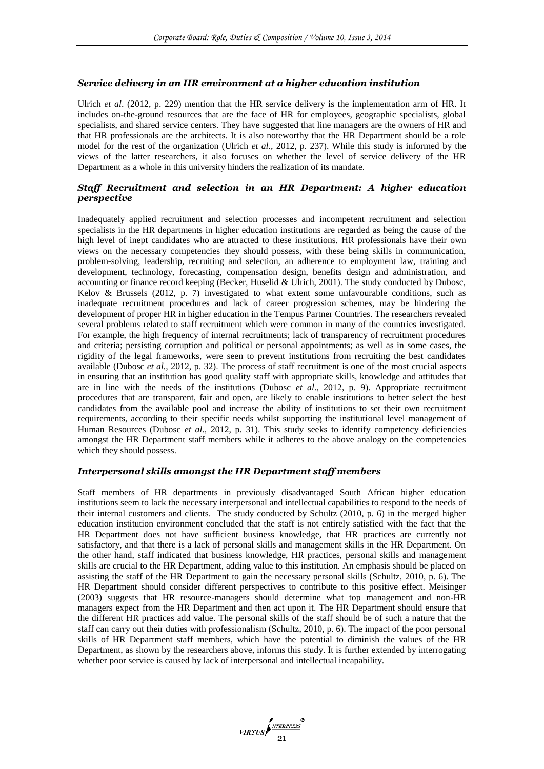## *Service delivery in an HR environment at a higher education institution*

Ulrich *et al*. (2012, p. 229) mention that the HR service delivery is the implementation arm of HR. It includes on-the-ground resources that are the face of HR for employees, geographic specialists, global specialists, and shared service centers. They have suggested that line managers are the owners of HR and that HR professionals are the architects. It is also noteworthy that the HR Department should be a role model for the rest of the organization (Ulrich *et al.,* 2012, p. 237). While this study is informed by the views of the latter researchers, it also focuses on whether the level of service delivery of the HR Department as a whole in this university hinders the realization of its mandate.

# *Staff Recruitment and selection in an HR Department: A higher education perspective*

Inadequately applied recruitment and selection processes and incompetent recruitment and selection specialists in the HR departments in higher education institutions are regarded as being the cause of the high level of inept candidates who are attracted to these institutions. HR professionals have their own views on the necessary competencies they should possess, with these being skills in communication, problem-solving, leadership, recruiting and selection, an adherence to employment law, training and development, technology, forecasting, compensation design, benefits design and administration, and accounting or finance record keeping (Becker, Huselid & Ulrich, 2001). The study conducted by Dubosc, Kelov & Brussels (2012, p. 7) investigated to what extent some unfavourable conditions, such as inadequate recruitment procedures and lack of career progression schemes, may be hindering the development of proper HR in higher education in the Tempus Partner Countries. The researchers revealed several problems related to staff recruitment which were common in many of the countries investigated. For example, the high frequency of internal recruitments; lack of transparency of recruitment procedures and criteria; persisting corruption and political or personal appointments; as well as in some cases, the rigidity of the legal frameworks, were seen to prevent institutions from recruiting the best candidates available (Dubosc *et al.,* 2012, p. 32). The process of staff recruitment is one of the most crucial aspects in ensuring that an institution has good quality staff with appropriate skills, knowledge and attitudes that are in line with the needs of the institutions (Dubosc *et al*., 2012, p. 9). Appropriate recruitment procedures that are transparent, fair and open, are likely to enable institutions to better select the best candidates from the available pool and increase the ability of institutions to set their own recruitment requirements, according to their specific needs whilst supporting the institutional level management of Human Resources (Dubosc *et al.*, 2012, p. 31). This study seeks to identify competency deficiencies amongst the HR Department staff members while it adheres to the above analogy on the competencies which they should possess.

## *Interpersonal skills amongst the HR Department staff members*

Staff members of HR departments in previously disadvantaged South African higher education institutions seem to lack the necessary interpersonal and intellectual capabilities to respond to the needs of their internal customers and clients. The study conducted by Schultz (2010, p. 6) in the merged higher education institution environment concluded that the staff is not entirely satisfied with the fact that the HR Department does not have sufficient business knowledge, that HR practices are currently not satisfactory, and that there is a lack of personal skills and management skills in the HR Department. On the other hand, staff indicated that business knowledge, HR practices, personal skills and management skills are crucial to the HR Department, adding value to this institution. An emphasis should be placed on assisting the staff of the HR Department to gain the necessary personal skills (Schultz, 2010, p. 6). The HR Department should consider different perspectives to contribute to this positive effect. Meisinger (2003) suggests that HR resource-managers should determine what top management and non-HR managers expect from the HR Department and then act upon it. The HR Department should ensure that the different HR practices add value. The personal skills of the staff should be of such a nature that the staff can carry out their duties with professionalism (Schultz, 2010, p. 6). The impact of the poor personal skills of HR Department staff members, which have the potential to diminish the values of the HR Department, as shown by the researchers above, informs this study. It is further extended by interrogating whether poor service is caused by lack of interpersonal and intellectual incapability.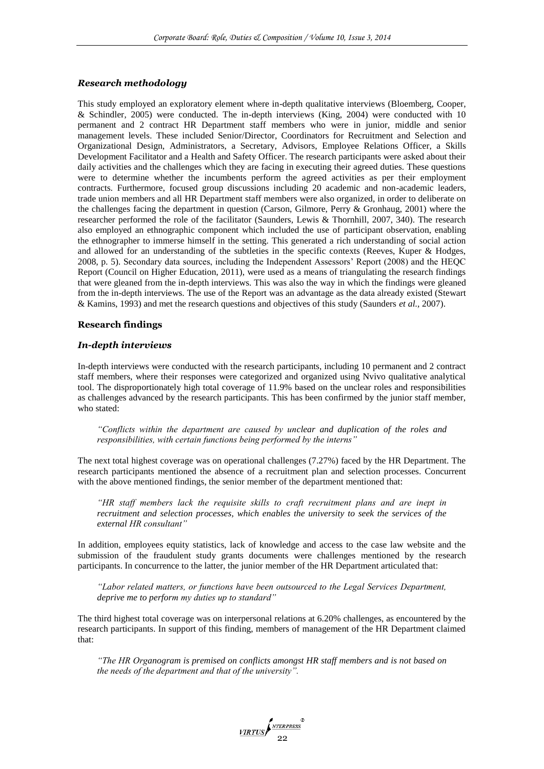#### *Research methodology*

This study employed an exploratory element where in-depth qualitative interviews (Bloemberg, Cooper, & Schindler*,* 2005) were conducted. The in-depth interviews (King, 2004) were conducted with 10 permanent and 2 contract HR Department staff members who were in junior, middle and senior management levels. These included Senior/Director, Coordinators for Recruitment and Selection and Organizational Design, Administrators, a Secretary, Advisors, Employee Relations Officer, a Skills Development Facilitator and a Health and Safety Officer. The research participants were asked about their daily activities and the challenges which they are facing in executing their agreed duties. These questions were to determine whether the incumbents perform the agreed activities as per their employment contracts. Furthermore, focused group discussions including 20 academic and non-academic leaders, trade union members and all HR Department staff members were also organized, in order to deliberate on the challenges facing the department in question (Carson, Gilmore, Perry & Gronhaug, 2001) where the researcher performed the role of the facilitator (Saunders, Lewis & Thornhill, 2007, 340). The research also employed an ethnographic component which included the use of participant observation, enabling the ethnographer to immerse himself in the setting. This generated a rich understanding of social action and allowed for an understanding of the subtleties in the specific contexts (Reeves, Kuper & Hodges, 2008, p. 5). Secondary data sources, including the Independent Assessors" Report (2008) and the HEQC Report (Council on Higher Education, 2011), were used as a means of triangulating the research findings that were gleaned from the in-depth interviews. This was also the way in which the findings were gleaned from the in-depth interviews. The use of the Report was an advantage as the data already existed (Stewart & Kamins, 1993) and met the research questions and objectives of this study (Saunders *et al.,* 2007).

## **Research findings**

#### *In-depth interviews*

In-depth interviews were conducted with the research participants, including 10 permanent and 2 contract staff members, where their responses were categorized and organized using Nvivo qualitative analytical tool. The disproportionately high total coverage of 11.9% based on the unclear roles and responsibilities as challenges advanced by the research participants. This has been confirmed by the junior staff member, who stated:

*"Conflicts within the department are caused by unclear and duplication of the roles and responsibilities, with certain functions being performed by the interns"*

The next total highest coverage was on operational challenges (7.27%) faced by the HR Department. The research participants mentioned the absence of a recruitment plan and selection processes. Concurrent with the above mentioned findings, the senior member of the department mentioned that:

*"HR staff members lack the requisite skills to craft recruitment plans and are inept in recruitment and selection processes, which enables the university to seek the services of the external HR consultant"*

In addition, employees equity statistics, lack of knowledge and access to the case law website and the submission of the fraudulent study grants documents were challenges mentioned by the research participants. In concurrence to the latter, the junior member of the HR Department articulated that:

*"Labor related matters, or functions have been outsourced to the Legal Services Department, deprive me to perform my duties up to standard"*

The third highest total coverage was on interpersonal relations at 6.20% challenges, as encountered by the research participants. In support of this finding, members of management of the HR Department claimed that:

*"The HR Organogram is premised on conflicts amongst HR staff members and is not based on the needs of the department and that of the university".*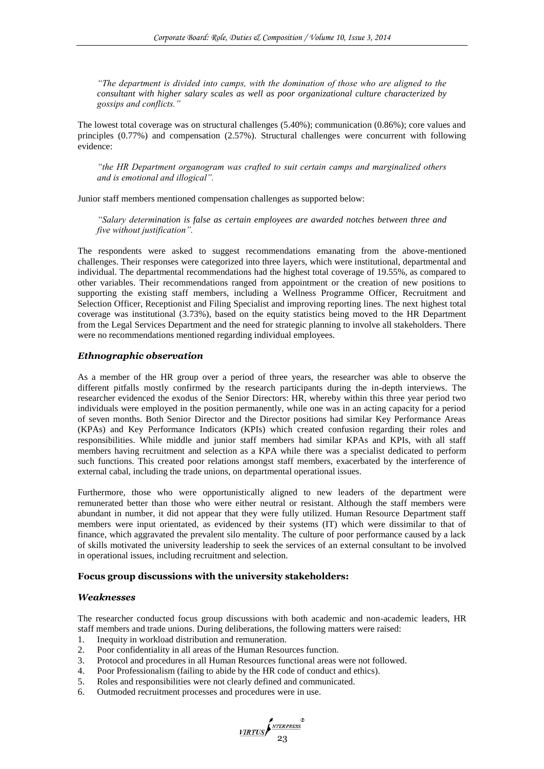*"The department is divided into camps, with the domination of those who are aligned to the consultant with higher salary scales as well as poor organizational culture characterized by gossips and conflicts."*

The lowest total coverage was on structural challenges (5.40%); communication (0.86%); core values and principles (0.77%) and compensation (2.57%). Structural challenges were concurrent with following evidence:

*"the HR Department organogram was crafted to suit certain camps and marginalized others and is emotional and illogical".*

Junior staff members mentioned compensation challenges as supported below:

*"Salary determination is false as certain employees are awarded notches between three and five without justification".*

The respondents were asked to suggest recommendations emanating from the above-mentioned challenges. Their responses were categorized into three layers, which were institutional, departmental and individual. The departmental recommendations had the highest total coverage of 19.55%, as compared to other variables. Their recommendations ranged from appointment or the creation of new positions to supporting the existing staff members, including a Wellness Programme Officer, Recruitment and Selection Officer, Receptionist and Filing Specialist and improving reporting lines. The next highest total coverage was institutional (3.73%), based on the equity statistics being moved to the HR Department from the Legal Services Department and the need for strategic planning to involve all stakeholders. There were no recommendations mentioned regarding individual employees.

## *Ethnographic observation*

As a member of the HR group over a period of three years, the researcher was able to observe the different pitfalls mostly confirmed by the research participants during the in-depth interviews. The researcher evidenced the exodus of the Senior Directors: HR, whereby within this three year period two individuals were employed in the position permanently, while one was in an acting capacity for a period of seven months. Both Senior Director and the Director positions had similar Key Performance Areas (KPAs) and Key Performance Indicators (KPIs) which created confusion regarding their roles and responsibilities. While middle and junior staff members had similar KPAs and KPIs, with all staff members having recruitment and selection as a KPA while there was a specialist dedicated to perform such functions. This created poor relations amongst staff members, exacerbated by the interference of external cabal, including the trade unions, on departmental operational issues.

Furthermore, those who were opportunistically aligned to new leaders of the department were remunerated better than those who were either neutral or resistant. Although the staff members were abundant in number, it did not appear that they were fully utilized. Human Resource Department staff members were input orientated, as evidenced by their systems (IT) which were dissimilar to that of finance, which aggravated the prevalent silo mentality. The culture of poor performance caused by a lack of skills motivated the university leadership to seek the services of an external consultant to be involved in operational issues, including recruitment and selection.

## **Focus group discussions with the university stakeholders:**

## *Weaknesses*

The researcher conducted focus group discussions with both academic and non-academic leaders, HR staff members and trade unions. During deliberations, the following matters were raised:

 $\frac{VIRTUS}{23}$ 

- 1. Inequity in workload distribution and remuneration.
- 2. Poor confidentiality in all areas of the Human Resources function.
- 3. Protocol and procedures in all Human Resources functional areas were not followed.
- 4. Poor Professionalism (failing to abide by the HR code of conduct and ethics).
- 5. Roles and responsibilities were not clearly defined and communicated.
- 6. Outmoded recruitment processes and procedures were in use.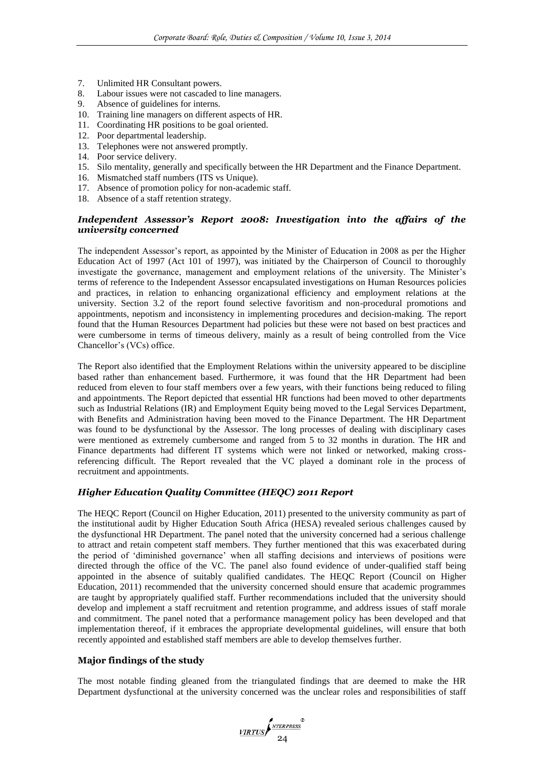- 7. Unlimited HR Consultant powers.
- 8. Labour issues were not cascaded to line managers.
- 9. Absence of guidelines for interns.
- 10. Training line managers on different aspects of HR.
- 11. Coordinating HR positions to be goal oriented.
- 12. Poor departmental leadership.
- 13. Telephones were not answered promptly.
- 14. Poor service delivery.
- 15. Silo mentality, generally and specifically between the HR Department and the Finance Department.
- 16. Mismatched staff numbers (ITS vs Unique).
- 17. Absence of promotion policy for non-academic staff.
- 18. Absence of a staff retention strategy.

# *Independent Assessor's Report 2008: Investigation into the affairs of the university concerned*

The independent Assessor's report, as appointed by the Minister of Education in 2008 as per the Higher Education Act of 1997 (Act 101 of 1997), was initiated by the Chairperson of Council to thoroughly investigate the governance, management and employment relations of the university. The Minister"s terms of reference to the Independent Assessor encapsulated investigations on Human Resources policies and practices, in relation to enhancing organizational efficiency and employment relations at the university. Section 3.2 of the report found selective favoritism and non-procedural promotions and appointments, nepotism and inconsistency in implementing procedures and decision-making. The report found that the Human Resources Department had policies but these were not based on best practices and were cumbersome in terms of timeous delivery, mainly as a result of being controlled from the Vice Chancellor"s (VCs) office.

The Report also identified that the Employment Relations within the university appeared to be discipline based rather than enhancement based. Furthermore, it was found that the HR Department had been reduced from eleven to four staff members over a few years, with their functions being reduced to filing and appointments. The Report depicted that essential HR functions had been moved to other departments such as Industrial Relations (IR) and Employment Equity being moved to the Legal Services Department, with Benefits and Administration having been moved to the Finance Department. The HR Department was found to be dysfunctional by the Assessor. The long processes of dealing with disciplinary cases were mentioned as extremely cumbersome and ranged from 5 to 32 months in duration. The HR and Finance departments had different IT systems which were not linked or networked, making crossreferencing difficult. The Report revealed that the VC played a dominant role in the process of recruitment and appointments.

# *Higher Education Quality Committee (HEQC) 2011 Report*

The HEQC Report (Council on Higher Education, 2011) presented to the university community as part of the institutional audit by Higher Education South Africa (HESA) revealed serious challenges caused by the dysfunctional HR Department. The panel noted that the university concerned had a serious challenge to attract and retain competent staff members. They further mentioned that this was exacerbated during the period of "diminished governance" when all staffing decisions and interviews of positions were directed through the office of the VC. The panel also found evidence of under-qualified staff being appointed in the absence of suitably qualified candidates. The HEQC Report (Council on Higher Education, 2011) recommended that the university concerned should ensure that academic programmes are taught by appropriately qualified staff. Further recommendations included that the university should develop and implement a staff recruitment and retention programme, and address issues of staff morale and commitment. The panel noted that a performance management policy has been developed and that implementation thereof, if it embraces the appropriate developmental guidelines, will ensure that both recently appointed and established staff members are able to develop themselves further.

# **Major findings of the study**

The most notable finding gleaned from the triangulated findings that are deemed to make the HR Department dysfunctional at the university concerned was the unclear roles and responsibilities of staff

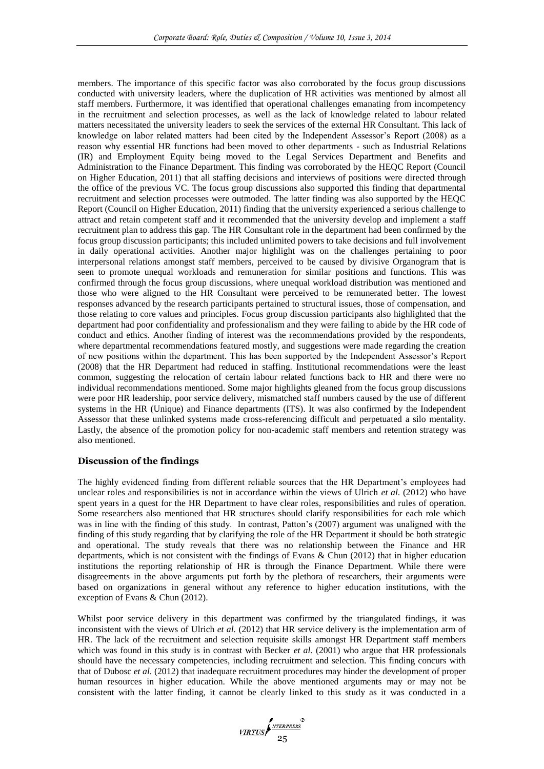members. The importance of this specific factor was also corroborated by the focus group discussions conducted with university leaders, where the duplication of HR activities was mentioned by almost all staff members. Furthermore, it was identified that operational challenges emanating from incompetency in the recruitment and selection processes, as well as the lack of knowledge related to labour related matters necessitated the university leaders to seek the services of the external HR Consultant. This lack of knowledge on labor related matters had been cited by the Independent Assessor's Report (2008) as a reason why essential HR functions had been moved to other departments - such as Industrial Relations (IR) and Employment Equity being moved to the Legal Services Department and Benefits and Administration to the Finance Department. This finding was corroborated by the HEQC Report (Council on Higher Education, 2011) that all staffing decisions and interviews of positions were directed through the office of the previous VC. The focus group discussions also supported this finding that departmental recruitment and selection processes were outmoded. The latter finding was also supported by the HEQC Report (Council on Higher Education, 2011) finding that the university experienced a serious challenge to attract and retain competent staff and it recommended that the university develop and implement a staff recruitment plan to address this gap. The HR Consultant role in the department had been confirmed by the focus group discussion participants; this included unlimited powers to take decisions and full involvement in daily operational activities. Another major highlight was on the challenges pertaining to poor interpersonal relations amongst staff members, perceived to be caused by divisive Organogram that is seen to promote unequal workloads and remuneration for similar positions and functions. This was confirmed through the focus group discussions, where unequal workload distribution was mentioned and those who were aligned to the HR Consultant were perceived to be remunerated better. The lowest responses advanced by the research participants pertained to structural issues, those of compensation, and those relating to core values and principles. Focus group discussion participants also highlighted that the department had poor confidentiality and professionalism and they were failing to abide by the HR code of conduct and ethics. Another finding of interest was the recommendations provided by the respondents, where departmental recommendations featured mostly, and suggestions were made regarding the creation of new positions within the department. This has been supported by the Independent Assessor"s Report (2008) that the HR Department had reduced in staffing. Institutional recommendations were the least common, suggesting the relocation of certain labour related functions back to HR and there were no individual recommendations mentioned. Some major highlights gleaned from the focus group discussions were poor HR leadership, poor service delivery, mismatched staff numbers caused by the use of different systems in the HR (Unique) and Finance departments (ITS). It was also confirmed by the Independent Assessor that these unlinked systems made cross-referencing difficult and perpetuated a silo mentality. Lastly, the absence of the promotion policy for non-academic staff members and retention strategy was also mentioned.

# **Discussion of the findings**

The highly evidenced finding from different reliable sources that the HR Department"s employees had unclear roles and responsibilities is not in accordance within the views of Ulrich *et al*. (2012) who have spent years in a quest for the HR Department to have clear roles, responsibilities and rules of operation. Some researchers also mentioned that HR structures should clarify responsibilities for each role which was in line with the finding of this study. In contrast, Patton's (2007) argument was unaligned with the finding of this study regarding that by clarifying the role of the HR Department it should be both strategic and operational. The study reveals that there was no relationship between the Finance and HR departments, which is not consistent with the findings of Evans & Chun (2012) that in higher education institutions the reporting relationship of HR is through the Finance Department. While there were disagreements in the above arguments put forth by the plethora of researchers, their arguments were based on organizations in general without any reference to higher education institutions, with the exception of Evans & Chun (2012).

Whilst poor service delivery in this department was confirmed by the triangulated findings, it was inconsistent with the views of Ulrich *et al.* (2012) that HR service delivery is the implementation arm of HR. The lack of the recruitment and selection requisite skills amongst HR Department staff members which was found in this study is in contrast with Becker *et al.* (2001) who argue that HR professionals should have the necessary competencies, including recruitment and selection. This finding concurs with that of Dubosc *et al.* (2012) that inadequate recruitment procedures may hinder the development of proper human resources in higher education. While the above mentioned arguments may or may not be consistent with the latter finding, it cannot be clearly linked to this study as it was conducted in a

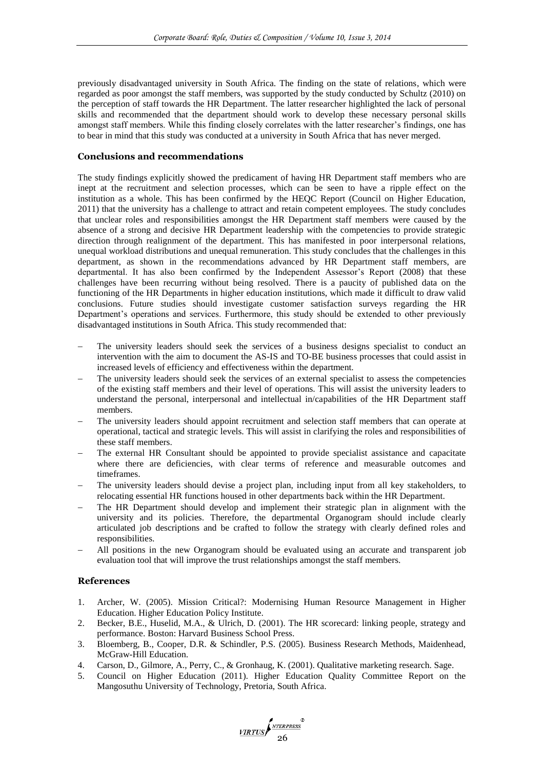previously disadvantaged university in South Africa. The finding on the state of relations, which were regarded as poor amongst the staff members, was supported by the study conducted by Schultz (2010) on the perception of staff towards the HR Department. The latter researcher highlighted the lack of personal skills and recommended that the department should work to develop these necessary personal skills amongst staff members. While this finding closely correlates with the latter researcher's findings, one has to bear in mind that this study was conducted at a university in South Africa that has never merged.

# **Conclusions and recommendations**

The study findings explicitly showed the predicament of having HR Department staff members who are inept at the recruitment and selection processes, which can be seen to have a ripple effect on the institution as a whole. This has been confirmed by the HEQC Report (Council on Higher Education, 2011) that the university has a challenge to attract and retain competent employees. The study concludes that unclear roles and responsibilities amongst the HR Department staff members were caused by the absence of a strong and decisive HR Department leadership with the competencies to provide strategic direction through realignment of the department. This has manifested in poor interpersonal relations, unequal workload distributions and unequal remuneration. This study concludes that the challenges in this department, as shown in the recommendations advanced by HR Department staff members, are departmental. It has also been confirmed by the Independent Assessor's Report (2008) that these challenges have been recurring without being resolved. There is a paucity of published data on the functioning of the HR Departments in higher education institutions, which made it difficult to draw valid conclusions. Future studies should investigate customer satisfaction surveys regarding the HR Department's operations and services. Furthermore, this study should be extended to other previously disadvantaged institutions in South Africa. This study recommended that:

- The university leaders should seek the services of a business designs specialist to conduct an intervention with the aim to document the AS-IS and TO-BE business processes that could assist in increased levels of efficiency and effectiveness within the department.
- The university leaders should seek the services of an external specialist to assess the competencies of the existing staff members and their level of operations. This will assist the university leaders to understand the personal, interpersonal and intellectual in/capabilities of the HR Department staff members.
- The university leaders should appoint recruitment and selection staff members that can operate at operational, tactical and strategic levels. This will assist in clarifying the roles and responsibilities of these staff members.
- The external HR Consultant should be appointed to provide specialist assistance and capacitate where there are deficiencies, with clear terms of reference and measurable outcomes and timeframes.
- The university leaders should devise a project plan, including input from all key stakeholders, to relocating essential HR functions housed in other departments back within the HR Department.
- The HR Department should develop and implement their strategic plan in alignment with the university and its policies. Therefore, the departmental Organogram should include clearly articulated job descriptions and be crafted to follow the strategy with clearly defined roles and responsibilities.
- All positions in the new Organogram should be evaluated using an accurate and transparent job evaluation tool that will improve the trust relationships amongst the staff members.

# **References**

- 1. Archer, W. (2005). Mission Critical?: Modernising Human Resource Management in Higher Education. Higher Education Policy Institute.
- 2. Becker, B.E., Huselid, M.A., & Ulrich, D. (2001). The HR scorecard: linking people, strategy and performance. Boston: Harvard Business School Press.
- 3. Bloemberg, B., Cooper, D.R. & Schindler, P.S. (2005). Business Research Methods, Maidenhead, McGraw-Hill Education.
- 4. Carson, D., Gilmore, A., Perry, C., & Gronhaug, K. (2001). Qualitative marketing research. Sage.
- 5. Council on Higher Education (2011). Higher Education Quality Committee Report on the Mangosuthu University of Technology, Pretoria, South Africa.